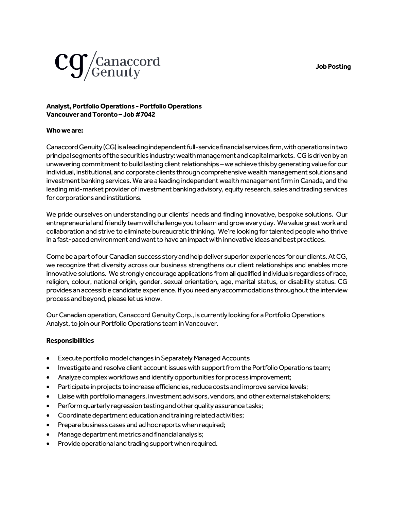**Job Posting**



## **Analyst, Portfolio Operations -Portfolio Operations Vancouver and Toronto –Job #7042**

## **Who we are:**

Canaccord Genuity (CG) is a leading independent full-service financial services firm, with operations in two principal segments of the securities industry: wealth management and capital markets. CG is driven by an unwavering commitment to build lasting client relationships –we achieve this by generating value for our individual, institutional, and corporate clients through comprehensive wealth management solutions and investment banking services. We are a leading independent wealth management firm in Canada, and the leading mid-market provider of investment banking advisory, equity research, sales and trading services for corporations and institutions.

We pride ourselves on understanding our clients' needs and finding innovative, bespoke solutions. Our entrepreneurial and friendly team will challenge you to learn and grow every day. We value great work and collaboration and strive to eliminate bureaucratic thinking. We're looking for talented people who thrive in a fast-paced environment and want to have an impact with innovative ideas and best practices.

Come be a part of our Canadian success story and help deliver superior experiences for our clients. At CG, we recognize that diversity across our business strengthens our client relationships and enables more innovative solutions. We strongly encourage applications from all qualified individuals regardless of race, religion, colour, national origin, gender, sexual orientation, age, marital status, or disability status. CG provides an accessible candidate experience. If you need any accommodations throughout the interview process and beyond, please let us know.

Our Canadian operation, Canaccord Genuity Corp., is currently looking for a Portfolio Operations Analyst, to join our Portfolio Operations teamin Vancouver.

## **Responsibilities**

- Execute portfolio model changes in Separately Managed Accounts
- Investigate and resolve client account issues with support from the Portfolio Operations team;
- Analyze complex workflows and identify opportunities for process improvement;
- Participate in projects to increase efficiencies, reduce costs and improve service levels;
- Liaise with portfolio managers, investment advisors, vendors, and other external stakeholders;
- Perform quarterly regression testing and other quality assurance tasks;
- Coordinate department education and training related activities;
- Prepare business cases and ad hoc reports when required;
- Manage department metrics and financial analysis;
- Provide operational and trading support when required.